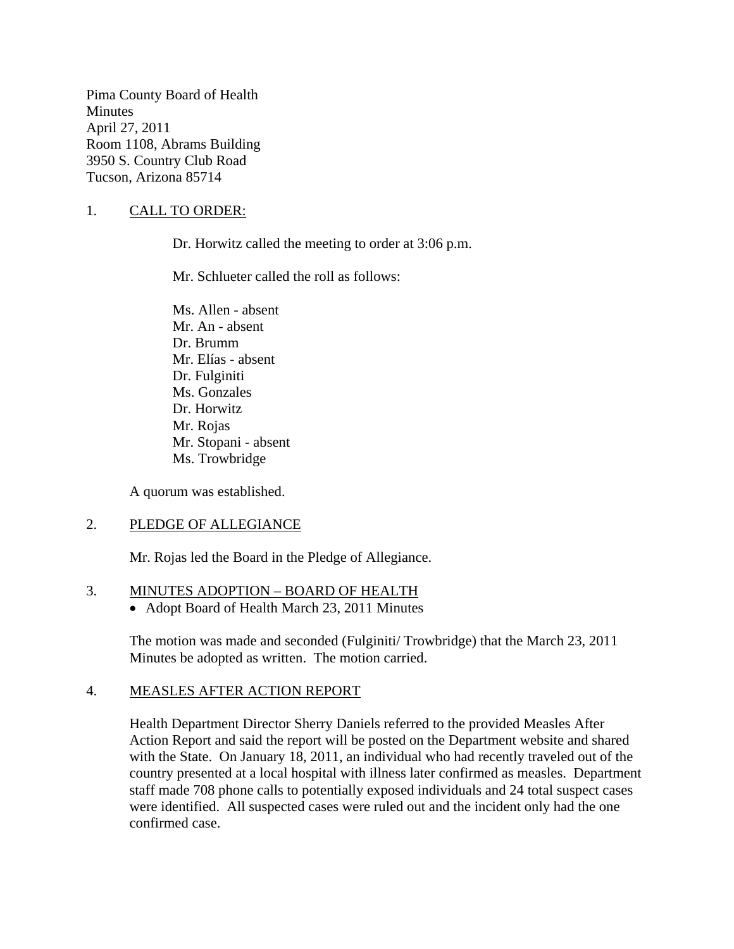Pima County Board of Health **Minutes** April 27, 2011 Room 1108, Abrams Building 3950 S. Country Club Road Tucson, Arizona 85714

## 1. CALL TO ORDER:

Dr. Horwitz called the meeting to order at 3:06 p.m.

Mr. Schlueter called the roll as follows:

Ms. Allen - absent Mr. An - absent Dr. Brumm Mr. Elías - absent Dr. Fulginiti Ms. Gonzales Dr. Horwitz Mr. Rojas Mr. Stopani - absent Ms. Trowbridge

A quorum was established.

### 2. PLEDGE OF ALLEGIANCE

Mr. Rojas led the Board in the Pledge of Allegiance.

### 3. MINUTES ADOPTION – BOARD OF HEALTH

• Adopt Board of Health March 23, 2011 Minutes

The motion was made and seconded (Fulginiti/ Trowbridge) that the March 23, 2011 Minutes be adopted as written. The motion carried.

### 4. MEASLES AFTER ACTION REPORT

Health Department Director Sherry Daniels referred to the provided Measles After Action Report and said the report will be posted on the Department website and shared with the State. On January 18, 2011, an individual who had recently traveled out of the country presented at a local hospital with illness later confirmed as measles. Department staff made 708 phone calls to potentially exposed individuals and 24 total suspect cases were identified. All suspected cases were ruled out and the incident only had the one confirmed case.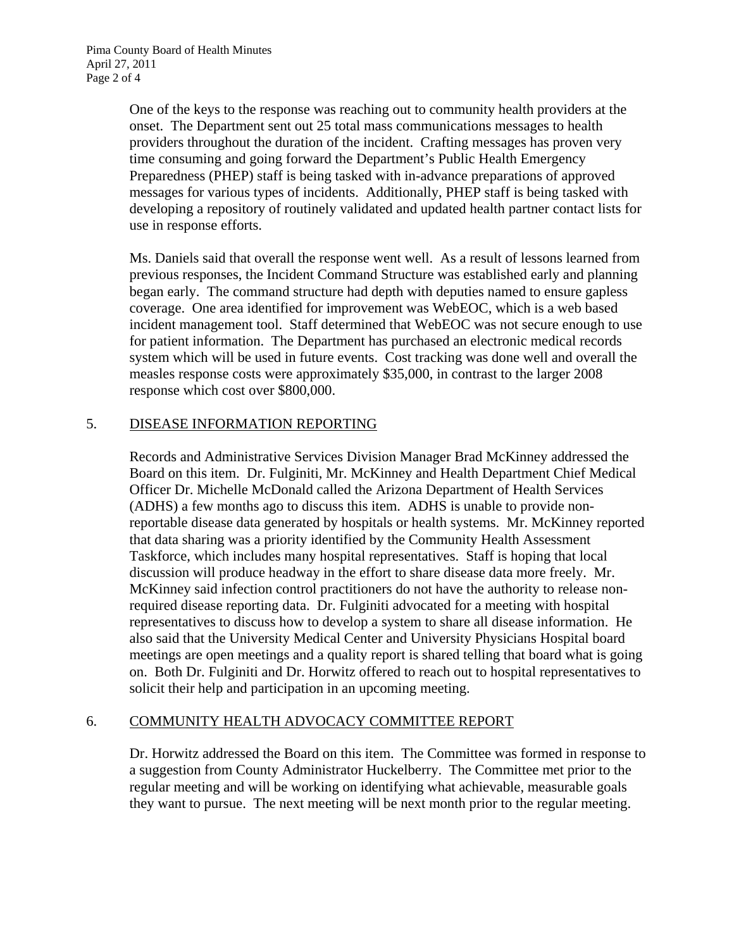One of the keys to the response was reaching out to community health providers at the onset. The Department sent out 25 total mass communications messages to health providers throughout the duration of the incident. Crafting messages has proven very time consuming and going forward the Department's Public Health Emergency Preparedness (PHEP) staff is being tasked with in-advance preparations of approved messages for various types of incidents. Additionally, PHEP staff is being tasked with developing a repository of routinely validated and updated health partner contact lists for use in response efforts.

Ms. Daniels said that overall the response went well. As a result of lessons learned from previous responses, the Incident Command Structure was established early and planning began early. The command structure had depth with deputies named to ensure gapless coverage. One area identified for improvement was WebEOC, which is a web based incident management tool. Staff determined that WebEOC was not secure enough to use for patient information. The Department has purchased an electronic medical records system which will be used in future events. Cost tracking was done well and overall the measles response costs were approximately \$35,000, in contrast to the larger 2008 response which cost over \$800,000.

### 5. DISEASE INFORMATION REPORTING

Records and Administrative Services Division Manager Brad McKinney addressed the Board on this item. Dr. Fulginiti, Mr. McKinney and Health Department Chief Medical Officer Dr. Michelle McDonald called the Arizona Department of Health Services (ADHS) a few months ago to discuss this item. ADHS is unable to provide nonreportable disease data generated by hospitals or health systems. Mr. McKinney reported that data sharing was a priority identified by the Community Health Assessment Taskforce, which includes many hospital representatives. Staff is hoping that local discussion will produce headway in the effort to share disease data more freely. Mr. McKinney said infection control practitioners do not have the authority to release nonrequired disease reporting data. Dr. Fulginiti advocated for a meeting with hospital representatives to discuss how to develop a system to share all disease information. He also said that the University Medical Center and University Physicians Hospital board meetings are open meetings and a quality report is shared telling that board what is going on. Both Dr. Fulginiti and Dr. Horwitz offered to reach out to hospital representatives to solicit their help and participation in an upcoming meeting.

### 6. COMMUNITY HEALTH ADVOCACY COMMITTEE REPORT

Dr. Horwitz addressed the Board on this item. The Committee was formed in response to a suggestion from County Administrator Huckelberry. The Committee met prior to the regular meeting and will be working on identifying what achievable, measurable goals they want to pursue. The next meeting will be next month prior to the regular meeting.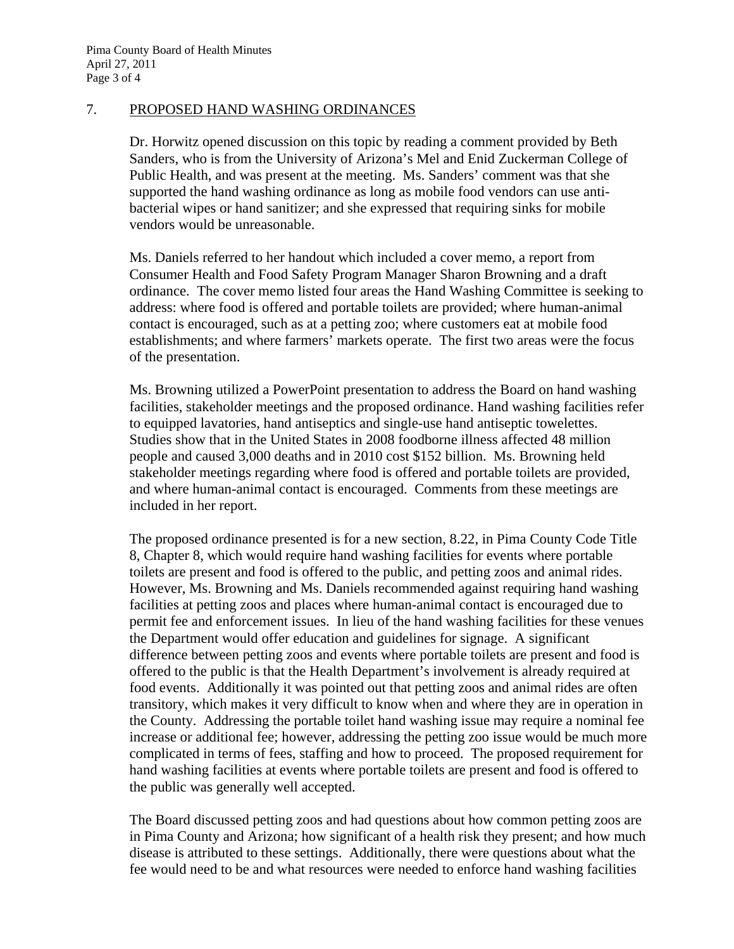#### 7. PROPOSED HAND WASHING ORDINANCES

Dr. Horwitz opened discussion on this topic by reading a comment provided by Beth Sanders, who is from the University of Arizona's Mel and Enid Zuckerman College of Public Health, and was present at the meeting. Ms. Sanders' comment was that she supported the hand washing ordinance as long as mobile food vendors can use antibacterial wipes or hand sanitizer; and she expressed that requiring sinks for mobile vendors would be unreasonable.

Ms. Daniels referred to her handout which included a cover memo, a report from Consumer Health and Food Safety Program Manager Sharon Browning and a draft ordinance. The cover memo listed four areas the Hand Washing Committee is seeking to address: where food is offered and portable toilets are provided; where human-animal contact is encouraged, such as at a petting zoo; where customers eat at mobile food establishments; and where farmers' markets operate. The first two areas were the focus of the presentation.

Ms. Browning utilized a PowerPoint presentation to address the Board on hand washing facilities, stakeholder meetings and the proposed ordinance. Hand washing facilities refer to equipped lavatories, hand antiseptics and single-use hand antiseptic towelettes. Studies show that in the United States in 2008 foodborne illness affected 48 million people and caused 3,000 deaths and in 2010 cost \$152 billion. Ms. Browning held stakeholder meetings regarding where food is offered and portable toilets are provided, and where human-animal contact is encouraged. Comments from these meetings are included in her report.

The proposed ordinance presented is for a new section, 8.22, in Pima County Code Title 8, Chapter 8, which would require hand washing facilities for events where portable toilets are present and food is offered to the public, and petting zoos and animal rides. However, Ms. Browning and Ms. Daniels recommended against requiring hand washing facilities at petting zoos and places where human-animal contact is encouraged due to permit fee and enforcement issues. In lieu of the hand washing facilities for these venues the Department would offer education and guidelines for signage. A significant difference between petting zoos and events where portable toilets are present and food is offered to the public is that the Health Department's involvement is already required at food events. Additionally it was pointed out that petting zoos and animal rides are often transitory, which makes it very difficult to know when and where they are in operation in the County. Addressing the portable toilet hand washing issue may require a nominal fee increase or additional fee; however, addressing the petting zoo issue would be much more complicated in terms of fees, staffing and how to proceed. The proposed requirement for hand washing facilities at events where portable toilets are present and food is offered to the public was generally well accepted.

The Board discussed petting zoos and had questions about how common petting zoos are in Pima County and Arizona; how significant of a health risk they present; and how much disease is attributed to these settings. Additionally, there were questions about what the fee would need to be and what resources were needed to enforce hand washing facilities